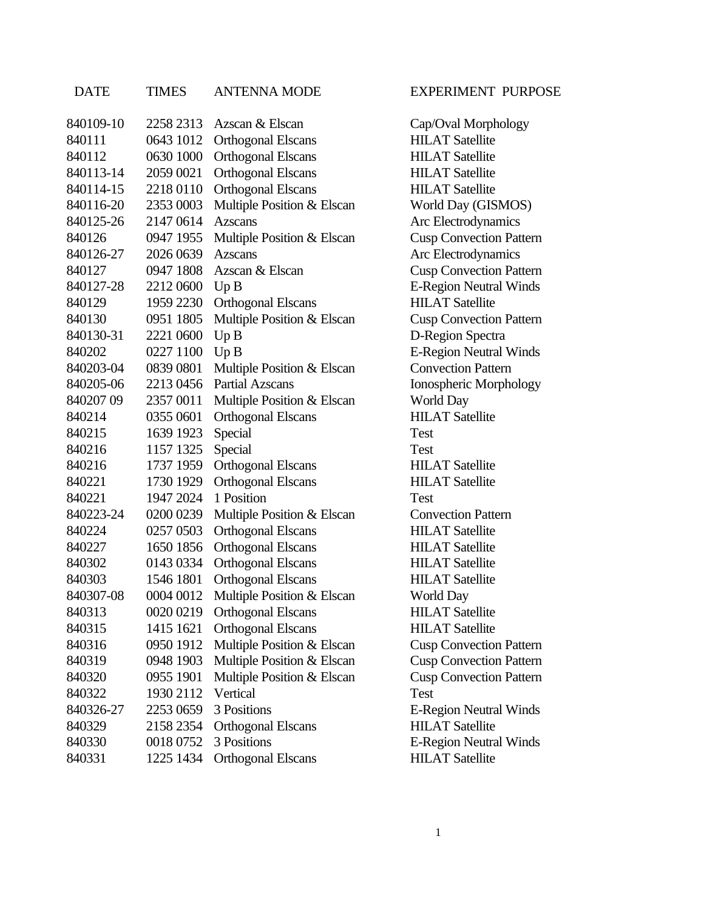## 840109-10 2258 2313 Azscan & Elscan Cap/Oval Morphology 840111 0643 1012 Orthogonal Elscans HILAT Satellite 840112 0630 1000 Orthogonal Elscans HILAT Satellite 840113-14 2059 0021 Orthogonal Elscans HILAT Satellite 840114-15 2218 0110 Orthogonal Elscans HILAT Satellite 840116-20 2353 0003 Multiple Position & Elscan World Day (GISMOS) 840125-26 2147 0614 Azscans Arc Electrodynamics 840126 0947 1955 Multiple Position & Elscan Cusp Convection Pattern 840126-27 2026 0639 Azscans Arc Electrodynamics 840127 0947 1808 Azscan & Elscan Cusp Convection Pattern 840127-28 2212 0600 Up B E-Region Neutral Winds 840129 1959 2230 Orthogonal Elscans HILAT Satellite 840130 0951 1805 Multiple Position & Elscan Cusp Convection Pattern 840130-31 2221 0600 Up B D-Region Spectra 840202 0227 1100 Up B E-Region Neutral Winds 840203-04 0839 0801 Multiple Position & Elscan Convection Pattern 840205-06 2213 0456 Partial Azscans Ionospheric Morphology 840207 09 2357 0011 Multiple Position & Elscan World Day 840214 0355 0601 Orthogonal Elscans HILAT Satellite 840215 1639 1923 Special Test 840216 1157 1325 Special Test

DATE TIMES ANTENNA MODE EXPERIMENT PURPOSE

840216 1737 1959 Orthogonal Elscans HILAT Satellite 840221 1730 1929 Orthogonal Elscans HILAT Satellite 840221 1947 2024 1 Position Test 840223-24 0200 0239 Multiple Position & Elscan Convection Pattern 840224 0257 0503 Orthogonal Elscans HILAT Satellite 840227 1650 1856 Orthogonal Elscans HILAT Satellite 840302 0143 0334 Orthogonal Elscans HILAT Satellite 840303 1546 1801 Orthogonal Elscans HILAT Satellite 840307-08 0004 0012 Multiple Position & Elscan World Day 840313 0020 0219 Orthogonal Elscans HILAT Satellite 840315 1415 1621 Orthogonal Elscans HILAT Satellite 840316 0950 1912 Multiple Position & Elscan Cusp Convection Pattern 840319 0948 1903 Multiple Position & Elscan Cusp Convection Pattern 840320 0955 1901 Multiple Position & Elscan Cusp Convection Pattern 840322 1930 2112 Vertical Test 840326-27 2253 0659 3 Positions E-Region Neutral Winds 840329 2158 2354 Orthogonal Elscans HILAT Satellite 840330 0018 0752 3 Positions E-Region Neutral Winds 840331 1225 1434 Orthogonal Elscans HILAT Satellite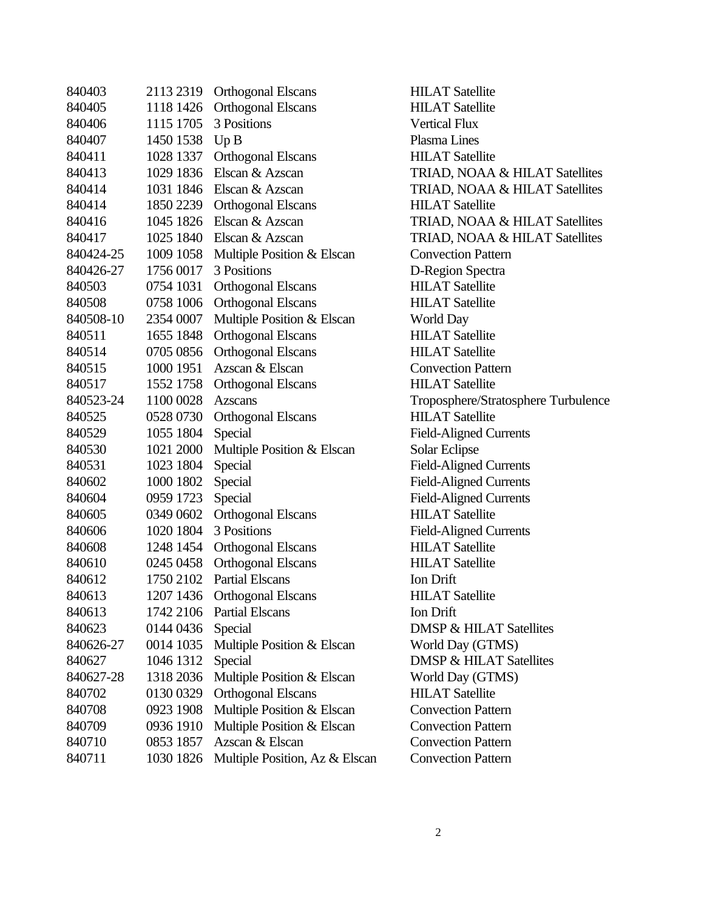| 840403    | 2113 2319 | <b>Orthogonal Elscans</b>      |
|-----------|-----------|--------------------------------|
| 840405    | 1118 1426 | <b>Orthogonal Elscans</b>      |
| 840406    | 1115 1705 | 3 Positions                    |
| 840407    | 1450 1538 | Up B                           |
| 840411    | 1028 1337 | <b>Orthogonal Elscans</b>      |
| 840413    | 1029 1836 | Elscan & Azscan                |
| 840414    | 1031 1846 | Elscan & Azscan                |
| 840414    | 1850 2239 | <b>Orthogonal Elscans</b>      |
| 840416    | 1045 1826 | Elscan & Azscan                |
| 840417    | 1025 1840 | Elscan & Azscan                |
| 840424-25 | 1009 1058 | Multiple Position & Elscan     |
| 840426-27 | 1756 0017 | 3 Positions                    |
| 840503    | 0754 1031 | <b>Orthogonal Elscans</b>      |
| 840508    | 0758 1006 | <b>Orthogonal Elscans</b>      |
| 840508-10 | 2354 0007 | Multiple Position & Elscan     |
| 840511    | 1655 1848 | <b>Orthogonal Elscans</b>      |
| 840514    | 0705 0856 | <b>Orthogonal Elscans</b>      |
| 840515    | 1000 1951 | Azscan & Elscan                |
| 840517    | 1552 1758 | <b>Orthogonal Elscans</b>      |
| 840523-24 | 1100 0028 | Azscans                        |
| 840525    | 0528 0730 | <b>Orthogonal Elscans</b>      |
| 840529    | 1055 1804 | Special                        |
| 840530    | 1021 2000 | Multiple Position & Elscan     |
| 840531    | 1023 1804 | Special                        |
| 840602    | 1000 1802 | Special                        |
| 840604    | 0959 1723 | Special                        |
| 840605    | 0349 0602 | <b>Orthogonal Elscans</b>      |
| 840606    | 1020 1804 | 3 Positions                    |
| 840608    | 1248 1454 | <b>Orthogonal Elscans</b>      |
| 840610    | 0245 0458 | <b>Orthogonal Elscans</b>      |
| 840612    | 1750 2102 | <b>Partial Elscans</b>         |
| 840613    | 1207 1436 | <b>Orthogonal Elscans</b>      |
| 840613    | 1742 2106 | <b>Partial Elscans</b>         |
| 840623    | 0144 0436 | Special                        |
| 840626-27 | 0014 1035 | Multiple Position & Elscan     |
| 840627    | 1046 1312 | Special                        |
| 840627-28 | 1318 2036 | Multiple Position & Elscan     |
| 840702    | 0130 0329 | <b>Orthogonal Elscans</b>      |
| 840708    | 0923 1908 | Multiple Position & Elscan     |
| 840709    | 0936 1910 | Multiple Position & Elscan     |
| 840710    | 0853 1857 | Azscan & Elscan                |
| 840711    | 1030 1826 | Multiple Position, Az & Elscan |

**HILAT Satellite HILAT Satellite Vertical Flux** Plasma Lines **HILAT Satellite** TRIAD, NOAA & HILAT Satellites TRIAD, NOAA & HILAT Satellites **HILAT Satellite** TRIAD, NOAA & HILAT Satellites TRIAD, NOAA & HILAT Satellites **Convection Pattern** D-Region Spectra HILAT Satellite **HILAT Satellite** World Day HILAT Satellite **HILAT Satellite Convection Pattern HILAT Satellite** Troposphere/Stratosphere Turbulence HILAT Satellite Field-Aligned Currents Solar Eclipse Field-Aligned Currents Field-Aligned Currents Field-Aligned Currents **HILAT Satellite** Field-Aligned Currents **HILAT Satellite** HILAT Satellite Ion Drift **HILAT Satellite** Ion Drift DMSP & HILAT Satellites World Day (GTMS) DMSP & HILAT Satellites World Day (GTMS) **HILAT Satellite Convection Pattern Convection Pattern Convection Pattern Convection Pattern**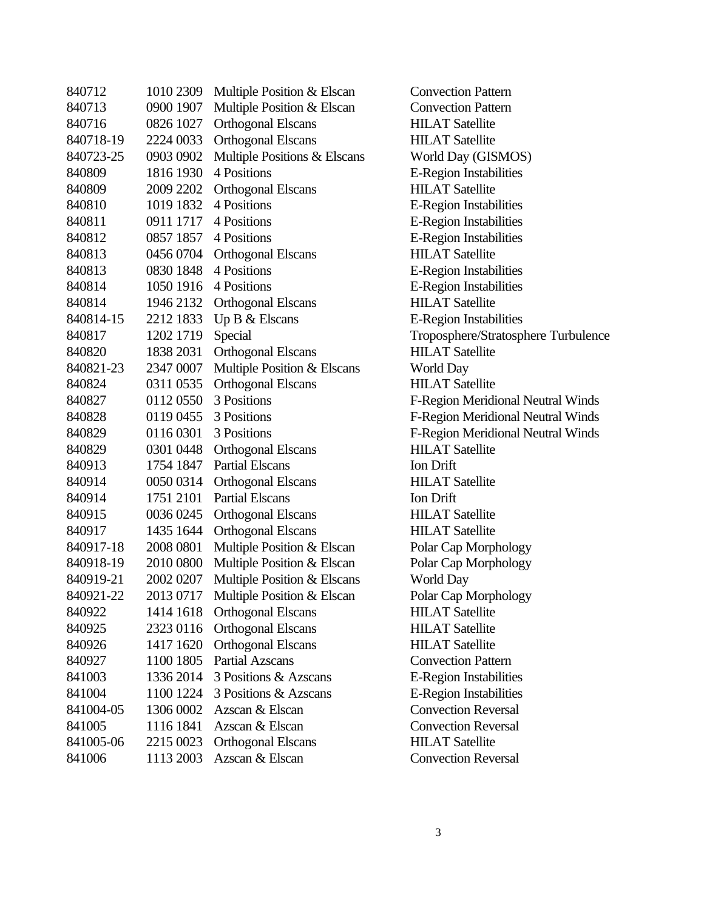| 840712    | 1010 2309 | Multiple Position & Elscan   | Convection       |
|-----------|-----------|------------------------------|------------------|
| 840713    | 0900 1907 | Multiple Position & Elscan   | Convection       |
| 840716    | 0826 1027 | <b>Orthogonal Elscans</b>    | <b>HILAT</b> Sat |
| 840718-19 | 2224 0033 | <b>Orthogonal Elscans</b>    | <b>HILAT</b> Sat |
| 840723-25 | 0903 0902 | Multiple Positions & Elscans | <b>World Day</b> |
| 840809    | 1816 1930 | 4 Positions                  | E-Region I       |
| 840809    | 2009 2202 | <b>Orthogonal Elscans</b>    | <b>HILAT</b> Sat |
| 840810    | 1019 1832 | 4 Positions                  | E-Region I       |
| 840811    | 0911 1717 | 4 Positions                  | E-Region I       |
| 840812    | 0857 1857 | 4 Positions                  | E-Region I       |
| 840813    | 0456 0704 | <b>Orthogonal Elscans</b>    | <b>HILAT</b> Sat |
| 840813    | 0830 1848 | 4 Positions                  | E-Region I       |
| 840814    | 1050 1916 | 4 Positions                  | E-Region I       |
| 840814    | 1946 2132 | <b>Orthogonal Elscans</b>    | <b>HILAT</b> Sat |
| 840814-15 | 2212 1833 | Up B & Elscans               | E-Region I       |
| 840817    | 1202 1719 | Special                      | Tropospher       |
| 840820    | 1838 2031 | Orthogonal Elscans           | <b>HILAT</b> Sat |
| 840821-23 | 2347 0007 | Multiple Position & Elscans  | World Day        |
| 840824    | 0311 0535 | <b>Orthogonal Elscans</b>    | <b>HILAT</b> Sat |
| 840827    | 0112 0550 | 3 Positions                  | F-Region N       |
| 840828    | 0119 0455 | 3 Positions                  | F-Region N       |
| 840829    | 0116 0301 | 3 Positions                  | F-Region N       |
| 840829    | 0301 0448 | <b>Orthogonal Elscans</b>    | <b>HILAT</b> Sat |
| 840913    | 1754 1847 | <b>Partial Elscans</b>       | Ion Drift        |
| 840914    | 0050 0314 | <b>Orthogonal Elscans</b>    | <b>HILAT</b> Sat |
| 840914    | 1751 2101 | <b>Partial Elscans</b>       | Ion Drift        |
| 840915    | 0036 0245 | <b>Orthogonal Elscans</b>    | <b>HILAT</b> Sat |
| 840917    | 1435 1644 | <b>Orthogonal Elscans</b>    | <b>HILAT</b> Sat |
| 840917-18 | 2008 0801 | Multiple Position & Elscan   | Polar Cap I      |
| 840918-19 | 2010 0800 | Multiple Position & Elscan   | Polar Cap I      |
| 840919-21 | 2002 0207 | Multiple Position & Elscans  | World Day        |
| 840921-22 | 2013 0717 | Multiple Position & Elscan   | Polar Cap I      |
| 840922    | 1414 1618 | <b>Orthogonal Elscans</b>    | <b>HILAT</b> Sat |
| 840925    | 2323 0116 | <b>Orthogonal Elscans</b>    | <b>HILAT</b> Sat |
| 840926    | 1417 1620 | <b>Orthogonal Elscans</b>    | <b>HILAT</b> Sat |
| 840927    | 1100 1805 | <b>Partial Azscans</b>       | Convection       |
| 841003    | 1336 2014 | 3 Positions & Azscans        | E-Region I       |
| 841004    | 1100 1224 | 3 Positions & Azscans        | E-Region I       |
| 841004-05 | 1306 0002 | Azscan & Elscan              | Convection       |
| 841005    | 1116 1841 | Azscan & Elscan              | Convection       |
| 841005-06 | 2215 0023 | <b>Orthogonal Elscans</b>    | <b>HILAT</b> Sat |
| 841006    | 1113 2003 | Azscan & Elscan              | Convection       |

ection Pattern ection Pattern **T** Satellite **T** Satellite d Day (GISMOS) gion Instabilities T Satellite gion Instabilities gion Instabilities gion Instabilities  $\Delta T$  Satellite gion Instabilities gion Instabilities T Satellite gion Instabilities osphere/Stratosphere Turbulence **T** Satellite T Satellite 21008 2100 Neutral Winds 21008 2100 Neutral Winds gion Meridional Neutral Winds T Satellite T Satellite  $\Delta T$  Satellite **T** Satellite Cap Morphology Cap Morphology Cap Morphology T Satellite T Satellite T Satellite ection Pattern gion Instabilities gion Instabilities ection Reversal ection Reversal T Satellite ection Reversal